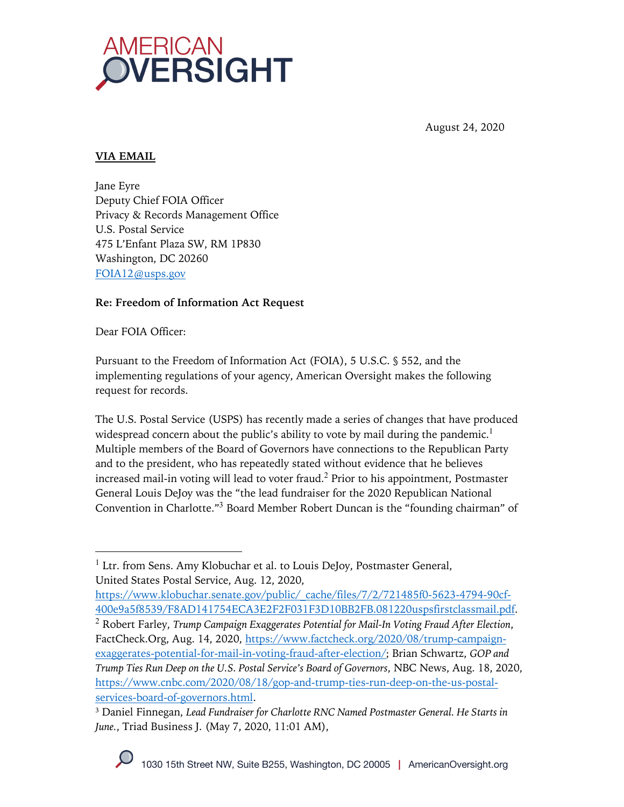

August 24, 2020

## **VIA EMAIL**

Jane Eyre Deputy Chief FOIA Officer Privacy & Records Management Office U.S. Postal Service 475 L'Enfant Plaza SW, RM 1P830 Washington, DC 20260 FOIA12@usps.gov

# **Re: Freedom of Information Act Request**

Dear FOIA Officer:

Pursuant to the Freedom of Information Act (FOIA), 5 U.S.C. § 552, and the implementing regulations of your agency, American Oversight makes the following request for records.

The U.S. Postal Service (USPS) has recently made a series of changes that have produced widespread concern about the public's ability to vote by mail during the pandemic.<sup>1</sup> Multiple members of the Board of Governors have connections to the Republican Party and to the president, who has repeatedly stated without evidence that he believes increased mail-in voting will lead to voter fraud.<sup>2</sup> Prior to his appointment, Postmaster General Louis DeJoy was the "the lead fundraiser for the 2020 Republican National Convention in Charlotte."<sup>3</sup> Board Member Robert Duncan is the "founding chairman" of

 $<sup>1</sup>$  Ltr. from Sens. Amy Klobuchar et al. to Louis DeJoy, Postmaster General,</sup> United States Postal Service, Aug. 12, 2020,

https://www.klobuchar.senate.gov/public/\_cache/files/7/2/721485f0-5623-4794-90cf-400e9a5f8539/F8AD141754ECA3E2F2F031F3D10BB2FB.081220uspsfirstclassmail.pdf.

<sup>2</sup> Robert Farley, *Trump Campaign Exaggerates Potential for Mail-In Voting Fraud After Election*, FactCheck.Org, Aug. 14, 2020, https://www.factcheck.org/2020/08/trump-campaignexaggerates-potential-for-mail-in-voting-fraud-after-election/; Brian Schwartz, *GOP and Trump Ties Run Deep on the U.S. Postal Service's Board of Governors*, NBC News, Aug. 18, 2020, https://www.cnbc.com/2020/08/18/gop-and-trump-ties-run-deep-on-the-us-postalservices-board-of-governors.html.

<sup>3</sup> Daniel Finnegan, *Lead Fundraiser for Charlotte RNC Named Postmaster General. He Starts in June.*, Triad Business J. (May 7, 2020, 11:01 AM),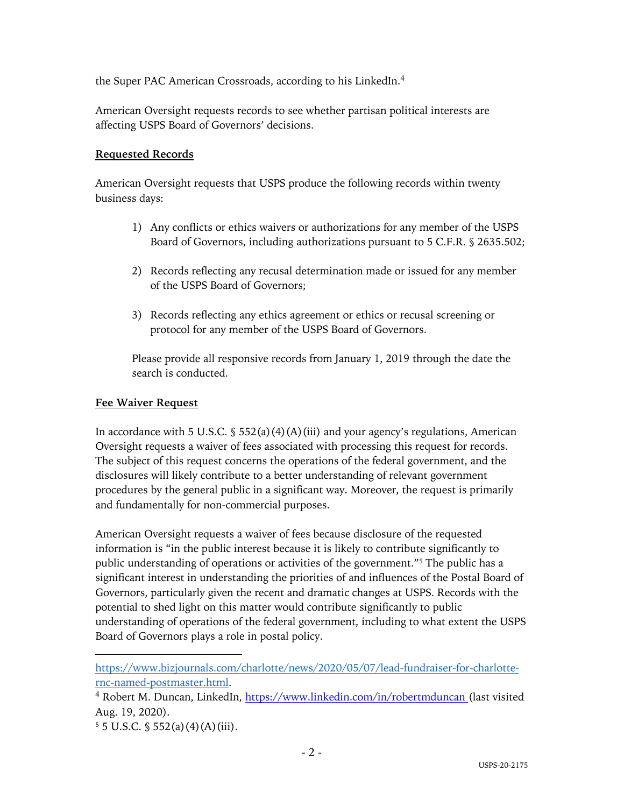the Super PAC American Crossroads, according to his LinkedIn.<sup>4</sup>

American Oversight requests records to see whether partisan political interests are affecting USPS Board of Governors' decisions.

### **Requested Records**

American Oversight requests that USPS produce the following records within twenty business days:

- 1) Any conflicts or ethics waivers or authorizations for any member of the USPS Board of Governors, including authorizations pursuant to 5 C.F.R. § 2635.502;
- 2) Records reflecting any recusal determination made or issued for any member of the USPS Board of Governors;
- 3) Records reflecting any ethics agreement or ethics or recusal screening or protocol for any member of the USPS Board of Governors.

Please provide all responsive records from January 1, 2019 through the date the search is conducted.

### **Fee Waiver Request**

In accordance with 5 U.S.C.  $\S$  552(a)(4)(A)(iii) and your agency's regulations, American Oversight requests a waiver of fees associated with processing this request for records. The subject of this request concerns the operations of the federal government, and the disclosures will likely contribute to a better understanding of relevant government procedures by the general public in a significant way. Moreover, the request is primarily and fundamentally for non-commercial purposes.

American Oversight requests a waiver of fees because disclosure of the requested information is "in the public interest because it is likely to contribute significantly to public understanding of operations or activities of the government."5 The public has a significant interest in understanding the priorities of and influences of the Postal Board of Governors, particularly given the recent and dramatic changes at USPS. Records with the potential to shed light on this matter would contribute significantly to public understanding of operations of the federal government, including to what extent the USPS Board of Governors plays a role in postal policy.

https://www.bizjournals.com/charlotte/news/2020/05/07/lead-fundraiser-for-charlotternc-named-postmaster.html.

<sup>&</sup>lt;sup>4</sup> Robert M. Duncan, LinkedIn, https://www.linkedin.com/in/robertmduncan (last visited Aug. 19, 2020).

 $5 \text{ J.S.C. }$  \$ 552(a)(4)(A)(iii).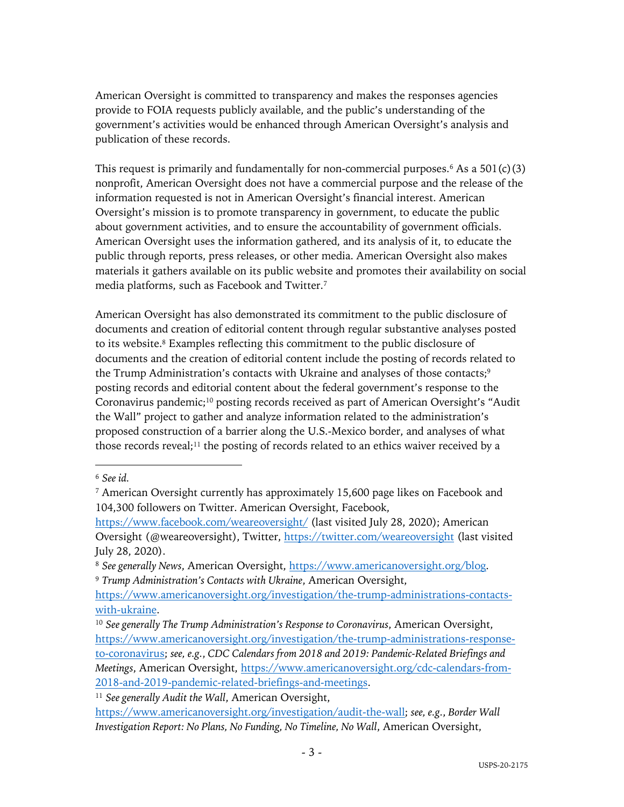American Oversight is committed to transparency and makes the responses agencies provide to FOIA requests publicly available, and the public's understanding of the government's activities would be enhanced through American Oversight's analysis and publication of these records.

This request is primarily and fundamentally for non-commercial purposes.<sup>6</sup> As a  $501(c)(3)$ nonprofit, American Oversight does not have a commercial purpose and the release of the information requested is not in American Oversight's financial interest. American Oversight's mission is to promote transparency in government, to educate the public about government activities, and to ensure the accountability of government officials. American Oversight uses the information gathered, and its analysis of it, to educate the public through reports, press releases, or other media. American Oversight also makes materials it gathers available on its public website and promotes their availability on social media platforms, such as Facebook and Twitter.7

American Oversight has also demonstrated its commitment to the public disclosure of documents and creation of editorial content through regular substantive analyses posted to its website.8 Examples reflecting this commitment to the public disclosure of documents and the creation of editorial content include the posting of records related to the Trump Administration's contacts with Ukraine and analyses of those contacts;<sup>9</sup> posting records and editorial content about the federal government's response to the Coronavirus pandemic;10 posting records received as part of American Oversight's "Audit the Wall" project to gather and analyze information related to the administration's proposed construction of a barrier along the U.S.-Mexico border, and analyses of what those records reveal;<sup>11</sup> the posting of records related to an ethics waiver received by a

<sup>6</sup> *See id.*

<sup>7</sup> American Oversight currently has approximately 15,600 page likes on Facebook and 104,300 followers on Twitter. American Oversight, Facebook,

https://www.facebook.com/weareoversight/ (last visited July 28, 2020); American Oversight (@weareoversight), Twitter, https://twitter.com/weareoversight (last visited July 28, 2020).

<sup>8</sup> *See generally News*, American Oversight, https://www.americanoversight.org/blog. <sup>9</sup> *Trump Administration's Contacts with Ukraine*, American Oversight,

https://www.americanoversight.org/investigation/the-trump-administrations-contactswith-ukraine.

<sup>10</sup> *See generally The Trump Administration's Response to Coronavirus*, American Oversight, https://www.americanoversight.org/investigation/the-trump-administrations-responseto-coronavirus; *see, e.g.*, *CDC Calendars from 2018 and 2019: Pandemic-Related Briefings and Meetings*, American Oversight, https://www.americanoversight.org/cdc-calendars-from-2018-and-2019-pandemic-related-briefings-and-meetings.

<sup>11</sup> *See generally Audit the Wall*, American Oversight,

https://www.americanoversight.org/investigation/audit-the-wall; *see, e.g.*, *Border Wall Investigation Report: No Plans, No Funding, No Timeline, No Wall*, American Oversight,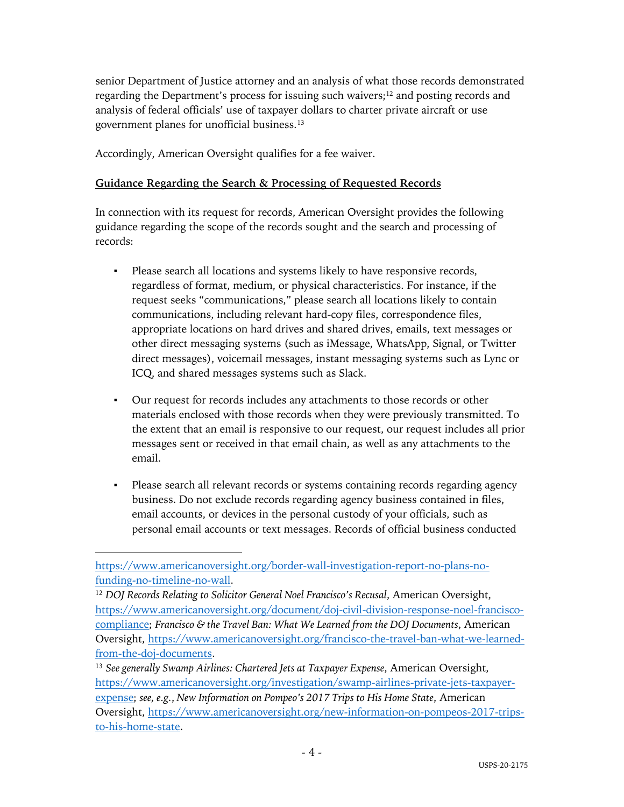senior Department of Justice attorney and an analysis of what those records demonstrated regarding the Department's process for issuing such waivers;<sup>12</sup> and posting records and analysis of federal officials' use of taxpayer dollars to charter private aircraft or use government planes for unofficial business.13

Accordingly, American Oversight qualifies for a fee waiver.

### **Guidance Regarding the Search & Processing of Requested Records**

In connection with its request for records, American Oversight provides the following guidance regarding the scope of the records sought and the search and processing of records:

- Please search all locations and systems likely to have responsive records, regardless of format, medium, or physical characteristics. For instance, if the request seeks "communications," please search all locations likely to contain communications, including relevant hard-copy files, correspondence files, appropriate locations on hard drives and shared drives, emails, text messages or other direct messaging systems (such as iMessage, WhatsApp, Signal, or Twitter direct messages), voicemail messages, instant messaging systems such as Lync or ICQ, and shared messages systems such as Slack.
- Our request for records includes any attachments to those records or other materials enclosed with those records when they were previously transmitted. To the extent that an email is responsive to our request, our request includes all prior messages sent or received in that email chain, as well as any attachments to the email.
- Please search all relevant records or systems containing records regarding agency business. Do not exclude records regarding agency business contained in files, email accounts, or devices in the personal custody of your officials, such as personal email accounts or text messages. Records of official business conducted

https://www.americanoversight.org/border-wall-investigation-report-no-plans-nofunding-no-timeline-no-wall.

<sup>12</sup> *DOJ Records Relating to Solicitor General Noel Francisco's Recusal*, American Oversight, https://www.americanoversight.org/document/doj-civil-division-response-noel-franciscocompliance; *Francisco & the Travel Ban: What We Learned from the DOJ Documents*, American Oversight, https://www.americanoversight.org/francisco-the-travel-ban-what-we-learnedfrom-the-doj-documents.

<sup>13</sup> *See generally Swamp Airlines: Chartered Jets at Taxpayer Expense*, American Oversight, https://www.americanoversight.org/investigation/swamp-airlines-private-jets-taxpayerexpense; *see, e.g.*, *New Information on Pompeo's 2017 Trips to His Home State*, American Oversight, https://www.americanoversight.org/new-information-on-pompeos-2017-tripsto-his-home-state.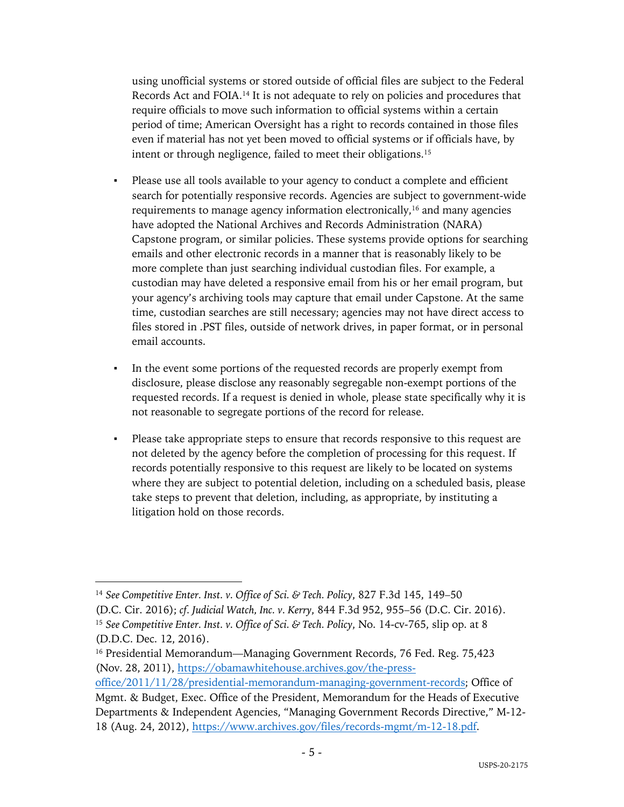using unofficial systems or stored outside of official files are subject to the Federal Records Act and FOIA.14 It is not adequate to rely on policies and procedures that require officials to move such information to official systems within a certain period of time; American Oversight has a right to records contained in those files even if material has not yet been moved to official systems or if officials have, by intent or through negligence, failed to meet their obligations.15

- Please use all tools available to your agency to conduct a complete and efficient search for potentially responsive records. Agencies are subject to government-wide requirements to manage agency information electronically,<sup>16</sup> and many agencies have adopted the National Archives and Records Administration (NARA) Capstone program, or similar policies. These systems provide options for searching emails and other electronic records in a manner that is reasonably likely to be more complete than just searching individual custodian files. For example, a custodian may have deleted a responsive email from his or her email program, but your agency's archiving tools may capture that email under Capstone. At the same time, custodian searches are still necessary; agencies may not have direct access to files stored in .PST files, outside of network drives, in paper format, or in personal email accounts.
- In the event some portions of the requested records are properly exempt from disclosure, please disclose any reasonably segregable non-exempt portions of the requested records. If a request is denied in whole, please state specifically why it is not reasonable to segregate portions of the record for release.
- Please take appropriate steps to ensure that records responsive to this request are not deleted by the agency before the completion of processing for this request. If records potentially responsive to this request are likely to be located on systems where they are subject to potential deletion, including on a scheduled basis, please take steps to prevent that deletion, including, as appropriate, by instituting a litigation hold on those records.

<sup>14</sup> *See Competitive Enter. Inst. v. Office of Sci. & Tech. Policy*, 827 F.3d 145, 149–50 (D.C. Cir. 2016); *cf. Judicial Watch, Inc. v. Kerry*, 844 F.3d 952, 955–56 (D.C. Cir. 2016). <sup>15</sup> *See Competitive Enter. Inst. v. Office of Sci. & Tech. Policy*, No. 14-cv-765, slip op. at 8 (D.D.C. Dec. 12, 2016).

<sup>&</sup>lt;sup>16</sup> Presidential Memorandum—Managing Government Records, 76 Fed. Reg. 75,423 (Nov. 28, 2011), https://obamawhitehouse.archives.gov/the-press-

office/2011/11/28/presidential-memorandum-managing-government-records; Office of Mgmt. & Budget, Exec. Office of the President, Memorandum for the Heads of Executive Departments & Independent Agencies, "Managing Government Records Directive," M-12- 18 (Aug. 24, 2012), https://www.archives.gov/files/records-mgmt/m-12-18.pdf.